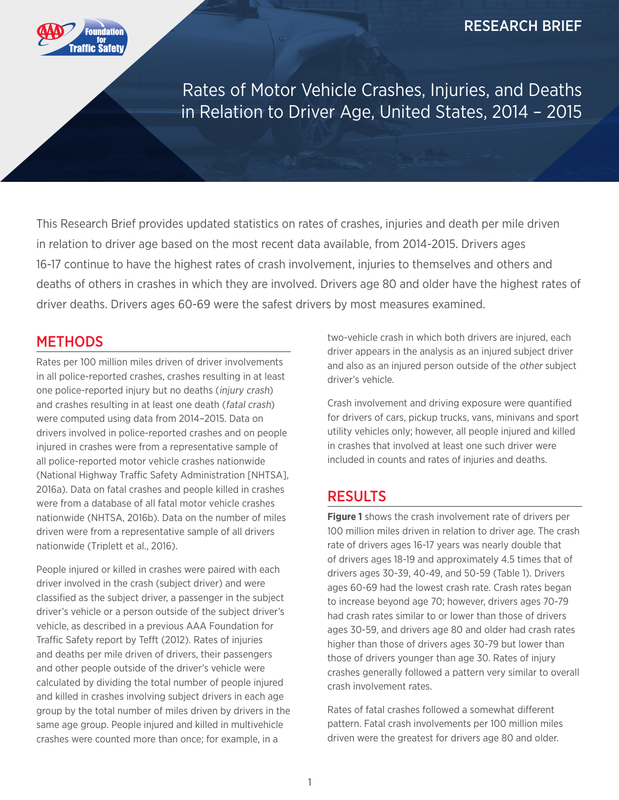

Rates of Motor Vehicle Crashes, Injuries, and Deaths in Relation to Driver Age, United States, 2014 – 2015

This Research Brief provides updated statistics on rates of crashes, injuries and death per mile driven in relation to driver age based on the most recent data available, from 2014-2015. Drivers ages 16-17 continue to have the highest rates of crash involvement, injuries to themselves and others and deaths of others in crashes in which they are involved. Drivers age 80 and older have the highest rates of driver deaths. Drivers ages 60-69 were the safest drivers by most measures examined.

#### **METHODS**

Rates per 100 million miles driven of driver involvements in all police-reported crashes, crashes resulting in at least one police-reported injury but no deaths (injury crash) and crashes resulting in at least one death (fatal crash) were computed using data from 2014–2015. Data on drivers involved in police-reported crashes and on people injured in crashes were from a representative sample of all police-reported motor vehicle crashes nationwide (National Highway Traffic Safety Administration [NHTSA], 2016a). Data on fatal crashes and people killed in crashes were from a database of all fatal motor vehicle crashes nationwide (NHTSA, 2016b). Data on the number of miles driven were from a representative sample of all drivers nationwide (Triplett et al., 2016).

People injured or killed in crashes were paired with each driver involved in the crash (subject driver) and were classified as the subject driver, a passenger in the subject driver's vehicle or a person outside of the subject driver's vehicle, as described in a previous AAA Foundation for Traffic Safety report by Tefft (2012). Rates of injuries and deaths per mile driven of drivers, their passengers and other people outside of the driver's vehicle were calculated by dividing the total number of people injured and killed in crashes involving subject drivers in each age group by the total number of miles driven by drivers in the same age group. People injured and killed in multivehicle crashes were counted more than once; for example, in a

two-vehicle crash in which both drivers are injured, each driver appears in the analysis as an injured subject driver and also as an injured person outside of the other subject driver's vehicle.

Crash involvement and driving exposure were quantified for drivers of cars, pickup trucks, vans, minivans and sport utility vehicles only; however, all people injured and killed in crashes that involved at least one such driver were included in counts and rates of injuries and deaths.

#### **RESULTS**

**Figure 1** shows the crash involvement rate of drivers per 100 million miles driven in relation to driver age. The crash rate of drivers ages 16-17 years was nearly double that of drivers ages 18-19 and approximately 4.5 times that of drivers ages 30-39, 40-49, and 50-59 (Table 1). Drivers ages 60-69 had the lowest crash rate. Crash rates began to increase beyond age 70; however, drivers ages 70-79 had crash rates similar to or lower than those of drivers ages 30-59, and drivers age 80 and older had crash rates higher than those of drivers ages 30-79 but lower than those of drivers younger than age 30. Rates of injury crashes generally followed a pattern very similar to overall crash involvement rates.

Rates of fatal crashes followed a somewhat different pattern. Fatal crash involvements per 100 million miles driven were the greatest for drivers age 80 and older.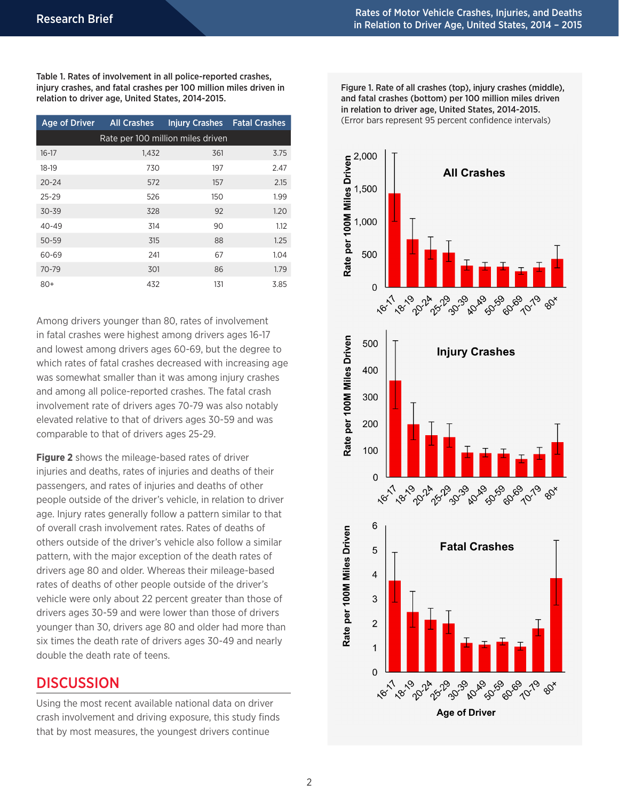Table 1. Rates of involvement in all police-reported crashes, injury crashes, and fatal crashes per 100 million miles driven in relation to driver age, United States, 2014-2015.

| <b>Age of Driver</b>              | <b>All Crashes</b> | <b>Injury Crashes Fatal Crashes</b> |      |  |  |
|-----------------------------------|--------------------|-------------------------------------|------|--|--|
| Rate per 100 million miles driven |                    |                                     |      |  |  |
| $16 - 17$                         | 1,432              | 361                                 | 3.75 |  |  |
| 18-19                             | 730                | 197                                 | 2.47 |  |  |
| $20 - 24$                         | 572                | 157                                 | 2.15 |  |  |
| $25 - 29$                         | 526                | 150                                 | 1.99 |  |  |
| $30 - 39$                         | 328                | 92                                  | 1.20 |  |  |
| $40 - 49$                         | 314                | 90                                  | 1.12 |  |  |
| $50 - 59$                         | 315                | 88                                  | 1.25 |  |  |
| 60-69                             | 241                | 67                                  | 1.04 |  |  |
| 70-79                             | 301                | 86                                  | 1.79 |  |  |
| $80+$                             | 432                | 131                                 | 3.85 |  |  |

Among drivers younger than 80, rates of involvement in fatal crashes were highest among drivers ages 16-17 and lowest among drivers ages 60-69, but the degree to which rates of fatal crashes decreased with increasing age was somewhat smaller than it was among injury crashes and among all police-reported crashes. The fatal crash involvement rate of drivers ages 70-79 was also notably elevated relative to that of drivers ages 30-59 and was comparable to that of drivers ages 25-29.

**Figure 2** shows the mileage-based rates of driver injuries and deaths, rates of injuries and deaths of their passengers, and rates of injuries and deaths of other people outside of the driver's vehicle, in relation to driver age. Injury rates generally follow a pattern similar to that of overall crash involvement rates. Rates of deaths of others outside of the driver's vehicle also follow a similar pattern, with the major exception of the death rates of drivers age 80 and older. Whereas their mileage-based rates of deaths of other people outside of the driver's vehicle were only about 22 percent greater than those of drivers ages 30-59 and were lower than those of drivers younger than 30, drivers age 80 and older had more than six times the death rate of drivers ages 30-49 and nearly double the death rate of teens.

#### **DISCUSSION**

Using the most recent available national data on driver crash involvement and driving exposure, this study finds that by most measures, the youngest drivers continue

Figure 1. Rate of all crashes (top), injury crashes (middle), and fatal crashes (bottom) per 100 million miles driven in relation to driver age, United States, 2014-2015. (Error bars represent 95 percent confidence intervals)

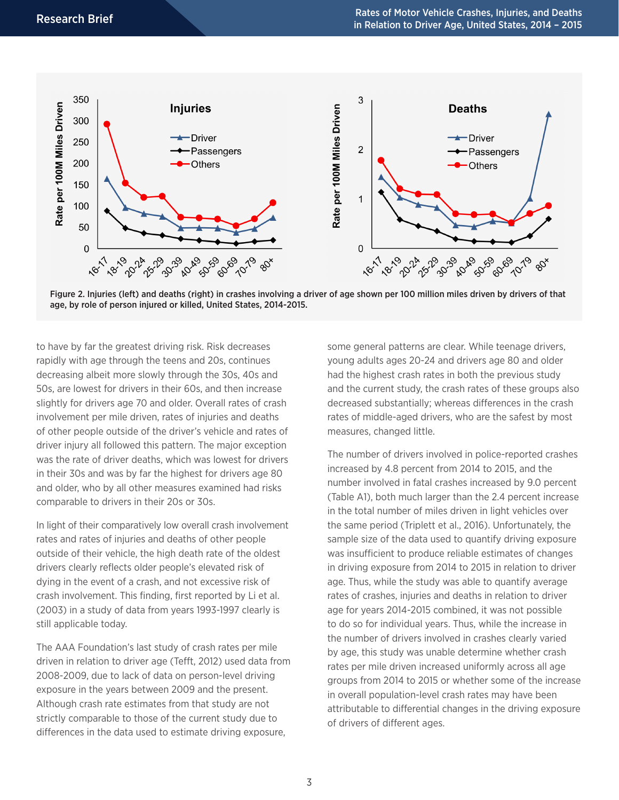

Figure 2. Injuries (left) and deaths (right) in crashes involving a driver of age shown per 100 million miles driven by drivers of that age, by role of person injured or killed, United States, 2014-2015.

to have by far the greatest driving risk. Risk decreases rapidly with age through the teens and 20s, continues decreasing albeit more slowly through the 30s, 40s and 50s, are lowest for drivers in their 60s, and then increase slightly for drivers age 70 and older. Overall rates of crash involvement per mile driven, rates of injuries and deaths of other people outside of the driver's vehicle and rates of driver injury all followed this pattern. The major exception was the rate of driver deaths, which was lowest for drivers in their 30s and was by far the highest for drivers age 80 and older, who by all other measures examined had risks comparable to drivers in their 20s or 30s.

In light of their comparatively low overall crash involvement rates and rates of injuries and deaths of other people outside of their vehicle, the high death rate of the oldest drivers clearly reflects older people's elevated risk of dying in the event of a crash, and not excessive risk of crash involvement. This finding, first reported by Li et al. (2003) in a study of data from years 1993-1997 clearly is still applicable today.

The AAA Foundation's last study of crash rates per mile driven in relation to driver age (Tefft, 2012) used data from 2008-2009, due to lack of data on person-level driving exposure in the years between 2009 and the present. Although crash rate estimates from that study are not strictly comparable to those of the current study due to differences in the data used to estimate driving exposure,

some general patterns are clear. While teenage drivers, young adults ages 20-24 and drivers age 80 and older had the highest crash rates in both the previous study and the current study, the crash rates of these groups also decreased substantially; whereas differences in the crash rates of middle-aged drivers, who are the safest by most measures, changed little.

The number of drivers involved in police-reported crashes increased by 4.8 percent from 2014 to 2015, and the number involved in fatal crashes increased by 9.0 percent (Table A1), both much larger than the 2.4 percent increase in the total number of miles driven in light vehicles over the same period (Triplett et al., 2016). Unfortunately, the sample size of the data used to quantify driving exposure was insufficient to produce reliable estimates of changes in driving exposure from 2014 to 2015 in relation to driver age. Thus, while the study was able to quantify average rates of crashes, injuries and deaths in relation to driver age for years 2014-2015 combined, it was not possible to do so for individual years. Thus, while the increase in the number of drivers involved in crashes clearly varied by age, this study was unable determine whether crash rates per mile driven increased uniformly across all age groups from 2014 to 2015 or whether some of the increase in overall population-level crash rates may have been attributable to differential changes in the driving exposure of drivers of different ages.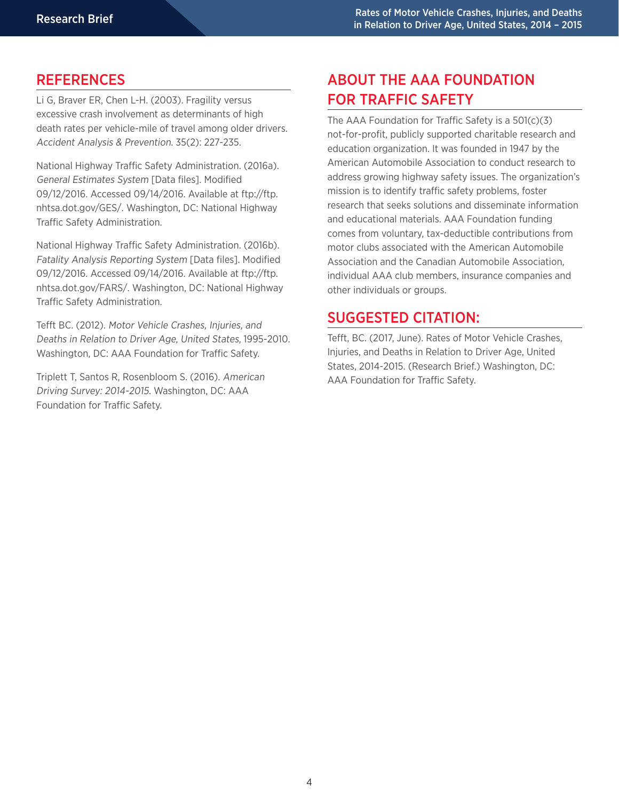## **REFERENCES**

Li G, Braver ER, Chen L-H. (2003). Fragility versus excessive crash involvement as determinants of high death rates per vehicle-mile of travel among older drivers. Accident Analysis & Prevention. 35(2): 227-235.

National Highway Traffic Safety Administration. (2016a). General Estimates System [Data files]. Modified 09/12/2016. Accessed 09/14/2016. Available at ftp://ftp. nhtsa.dot.gov/GES/. Washington, DC: National Highway Traffic Safety Administration.

National Highway Traffic Safety Administration. (2016b). Fatality Analysis Reporting System [Data files]. Modified 09/12/2016. Accessed 09/14/2016. Available at ftp://ftp. nhtsa.dot.gov/FARS/. Washington, DC: National Highway Traffic Safety Administration.

Tefft BC. (2012). Motor Vehicle Crashes, Injuries, and Deaths in Relation to Driver Age, United States, 1995-2010. Washington, DC: AAA Foundation for Traffic Safety.

Triplett T, Santos R, Rosenbloom S. (2016). American Driving Survey: 2014-2015. Washington, DC: AAA Foundation for Traffic Safety.

# ABOUT THE AAA FOUNDATION FOR TRAFFIC SAFETY

The AAA Foundation for Traffic Safety is a 501(c)(3) not-for-profit, publicly supported charitable research and education organization. It was founded in 1947 by the American Automobile Association to conduct research to address growing highway safety issues. The organization's mission is to identify traffic safety problems, foster research that seeks solutions and disseminate information and educational materials. AAA Foundation funding comes from voluntary, tax-deductible contributions from motor clubs associated with the American Automobile Association and the Canadian Automobile Association, individual AAA club members, insurance companies and other individuals or groups.

## SUGGESTED CITATION:

Tefft, BC. (2017, June). Rates of Motor Vehicle Crashes, Injuries, and Deaths in Relation to Driver Age, United States, 2014-2015. (Research Brief.) Washington, DC: AAA Foundation for Traffic Safety.